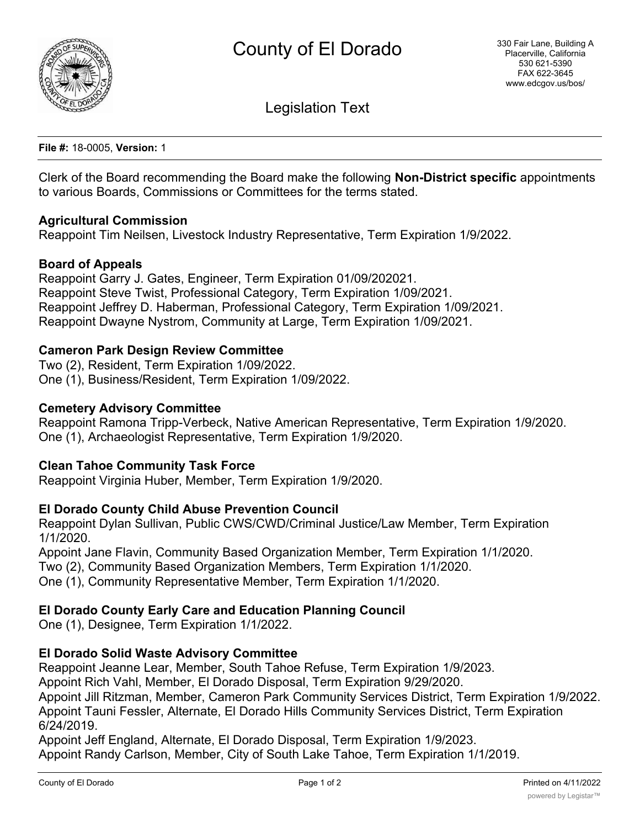

Legislation Text

**File #:** 18-0005, **Version:** 1

Clerk of the Board recommending the Board make the following **Non-District specific** appointments to various Boards, Commissions or Committees for the terms stated.

## **Agricultural Commission**

Reappoint Tim Neilsen, Livestock Industry Representative, Term Expiration 1/9/2022.

## **Board of Appeals**

Reappoint Garry J. Gates, Engineer, Term Expiration 01/09/202021. Reappoint Steve Twist, Professional Category, Term Expiration 1/09/2021. Reappoint Jeffrey D. Haberman, Professional Category, Term Expiration 1/09/2021. Reappoint Dwayne Nystrom, Community at Large, Term Expiration 1/09/2021.

## **Cameron Park Design Review Committee**

Two (2), Resident, Term Expiration 1/09/2022. One (1), Business/Resident, Term Expiration 1/09/2022.

### **Cemetery Advisory Committee**

Reappoint Ramona Tripp-Verbeck, Native American Representative, Term Expiration 1/9/2020. One (1), Archaeologist Representative, Term Expiration 1/9/2020.

#### **Clean Tahoe Community Task Force**

Reappoint Virginia Huber, Member, Term Expiration 1/9/2020.

#### **El Dorado County Child Abuse Prevention Council**

Reappoint Dylan Sullivan, Public CWS/CWD/Criminal Justice/Law Member, Term Expiration 1/1/2020.

Appoint Jane Flavin, Community Based Organization Member, Term Expiration 1/1/2020.

Two (2), Community Based Organization Members, Term Expiration 1/1/2020.

One (1), Community Representative Member, Term Expiration 1/1/2020.

# **El Dorado County Early Care and Education Planning Council**

One (1), Designee, Term Expiration 1/1/2022.

# **El Dorado Solid Waste Advisory Committee**

Reappoint Jeanne Lear, Member, South Tahoe Refuse, Term Expiration 1/9/2023.

Appoint Rich Vahl, Member, El Dorado Disposal, Term Expiration 9/29/2020.

Appoint Jill Ritzman, Member, Cameron Park Community Services District, Term Expiration 1/9/2022. Appoint Tauni Fessler, Alternate, El Dorado Hills Community Services District, Term Expiration 6/24/2019.

Appoint Jeff England, Alternate, El Dorado Disposal, Term Expiration 1/9/2023. Appoint Randy Carlson, Member, City of South Lake Tahoe, Term Expiration 1/1/2019.